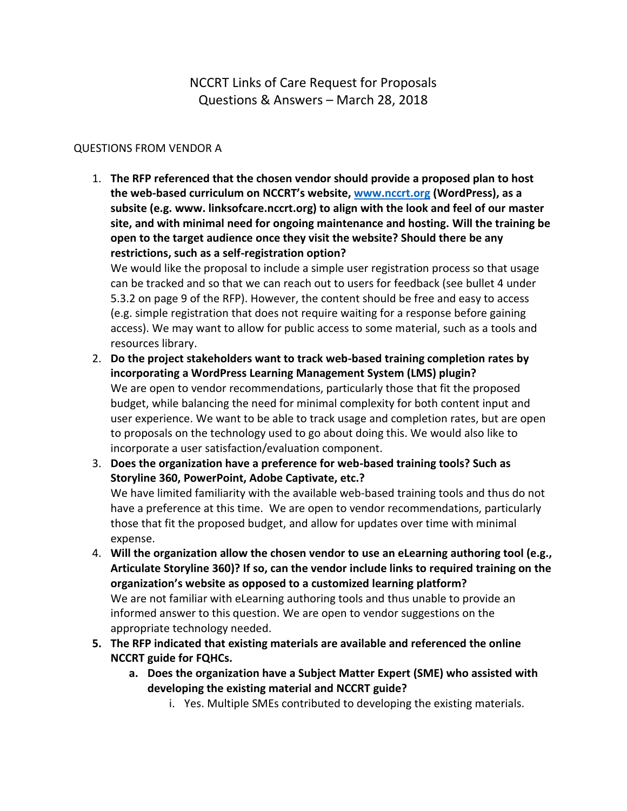NCCRT Links of Care Request for Proposals Questions & Answers – March 28, 2018

## QUESTIONS FROM VENDOR A

1. **The RFP referenced that the chosen vendor should provide a proposed plan to host the web-based curriculum on NCCRT's website, [www.nccrt.org](http://www.nccrt.org/) (WordPress), as a subsite (e.g. www. linksofcare.nccrt.org) to align with the look and feel of our master site, and with minimal need for ongoing maintenance and hosting. Will the training be open to the target audience once they visit the website? Should there be any restrictions, such as a self-registration option?**

We would like the proposal to include a simple user registration process so that usage can be tracked and so that we can reach out to users for feedback (see bullet 4 under 5.3.2 on page 9 of the RFP). However, the content should be free and easy to access (e.g. simple registration that does not require waiting for a response before gaining access). We may want to allow for public access to some material, such as a tools and resources library.

- 2. **Do the project stakeholders want to track web-based training completion rates by incorporating a WordPress Learning Management System (LMS) plugin?** We are open to vendor recommendations, particularly those that fit the proposed budget, while balancing the need for minimal complexity for both content input and user experience. We want to be able to track usage and completion rates, but are open to proposals on the technology used to go about doing this. We would also like to incorporate a user satisfaction/evaluation component.
- 3. **Does the organization have a preference for web-based training tools? Such as Storyline 360, PowerPoint, Adobe Captivate, etc.?** We have limited familiarity with the available web-based training tools and thus do not have a preference at this time. We are open to vendor recommendations, particularly those that fit the proposed budget, and allow for updates over time with minimal expense.
- 4. **Will the organization allow the chosen vendor to use an eLearning authoring tool (e.g., Articulate Storyline 360)? If so, can the vendor include links to required training on the organization's website as opposed to a customized learning platform?**  We are not familiar with eLearning authoring tools and thus unable to provide an informed answer to this question. We are open to vendor suggestions on the appropriate technology needed.
- **5. The RFP indicated that existing materials are available and referenced the online NCCRT guide for FQHCs.**
	- **a. Does the organization have a Subject Matter Expert (SME) who assisted with developing the existing material and NCCRT guide?**
		- i. Yes. Multiple SMEs contributed to developing the existing materials.